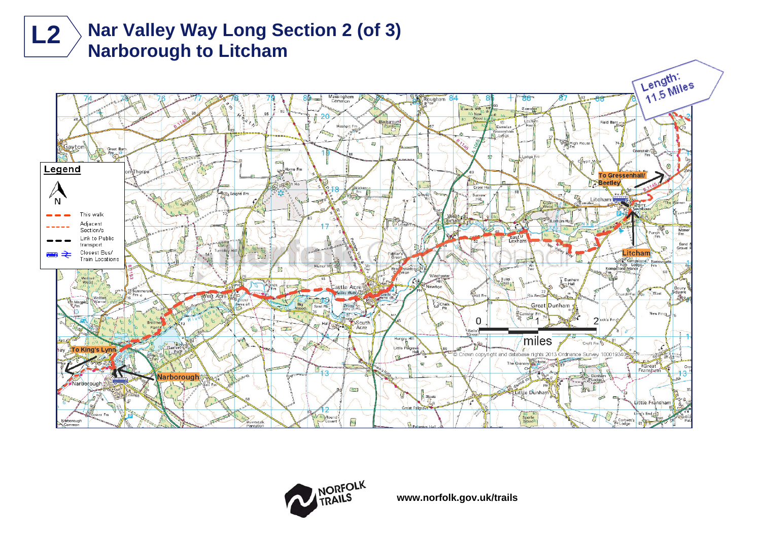





**www.norfolk.gov.uk/trails**